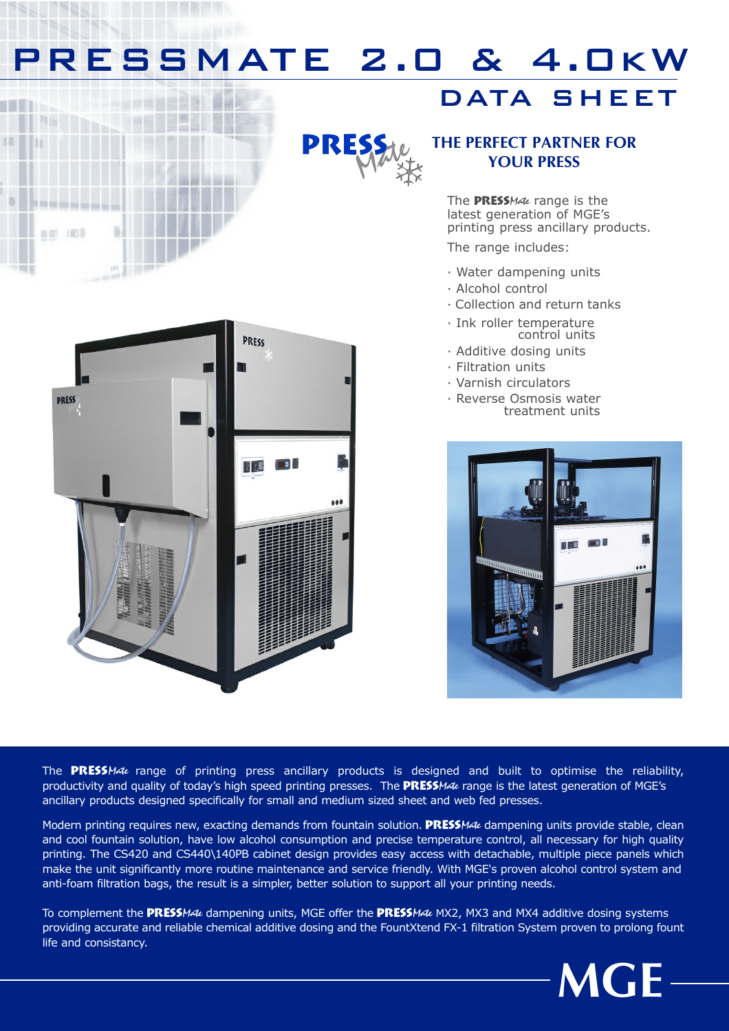## PRESSMATE 2.0 & 4.0kW

### DATA SHEET



### THE PERFECT PARTNER FOR YOUR PRESS

The PRESSMate range is the latest generation of MGE's printing press ancillary products.

The range includes:

- · Water dampening units
- · Alcohol control
- · Collection and return tanks
- · Ink roller temperature control units
- · Additive dosing units
- · Filtration units
- · Varnish circulators
- · Reverse Osmosis water treatment units





12 May

**80 101** 

The PRESSMate range of printing press ancillary products is designed and built to optimise the reliability, productivity and quality of today's high speed printing presses. The **PRESSMate** range is the latest generation of MGE's ancillary products designed specifically for small and medium sized sheet and web fed presses.

Modern printing requires new, exacting demands from fountain solution. PRESSMate dampening units provide stable, clean and cool fountain solution, have low alcohol consumption and precise temperature control, all necessary for high quality printing. The CS420 and CS440\140PB cabinet design provides easy access with detachable, multiple piece panels which make the unit significantly more routine maintenance and service friendly. With MGE's proven alcohol control system and anti-foam filtration bags, the result is a simpler, better solution to support all your printing needs.

To complement the PRESSMate dampening units, MGE offer the PRESSMate MX2, MX3 and MX4 additive dosing systems providing accurate and reliable chemical additive dosing and the FountXtend FX-1 filtration System proven to prolong fount life and consistancy.